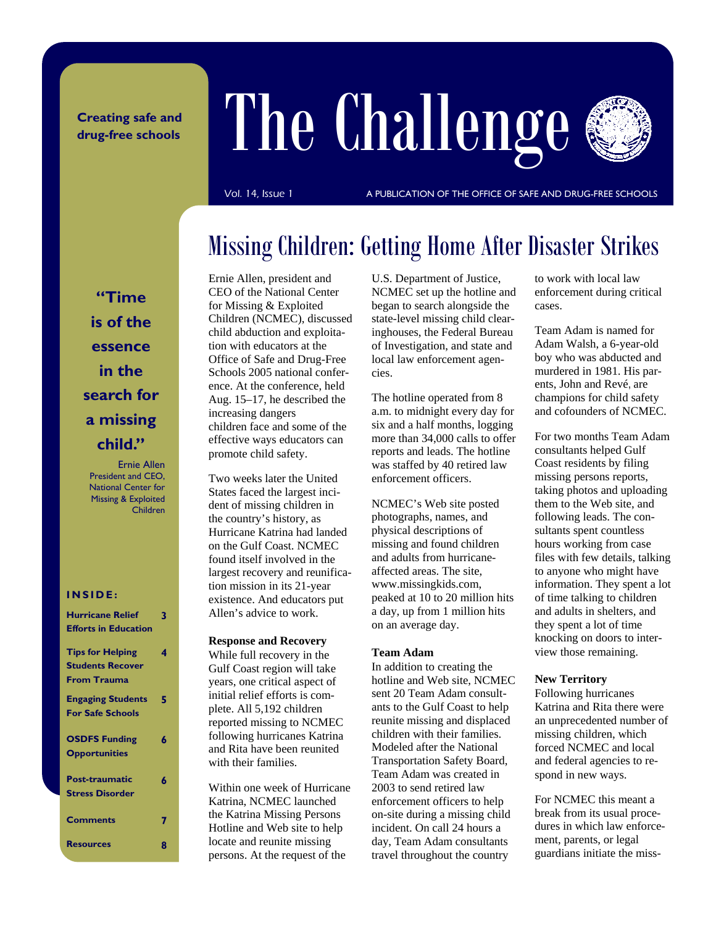### **Creating safe and drug-free schools**

# The Challenge



Vol. 14, Issue 1 **A PUBLICATION OF THE OFFICE OF SAFE AND DRUG-FREE SCHOOLS** 

### Missing Children: Getting Home After Disaster Strikes

**"Time is of the essence in the search for a missing child."** 

Ernie Allen President and CEO, National Center for Missing & Exploited Children

### **INSIDE:**

| <b>Hurricane Relief</b><br><b>Efforts in Education</b>                   | 3 |
|--------------------------------------------------------------------------|---|
| <b>Tips for Helping</b><br><b>Students Recover</b><br><b>From Trauma</b> | 4 |
| <b>Engaging Students</b><br><b>For Safe Schools</b>                      | 5 |
| <b>OSDFS Funding</b><br><b>Opportunities</b>                             | 6 |
| Post-traumatic<br><b>Stress Disorder</b>                                 | ħ |
| <b>Comments</b>                                                          |   |
| <b>Resources</b>                                                         | Я |

Ernie Allen, president and CEO of the National Center for Missing & Exploited Children (NCMEC), discussed child abduction and exploitation with educators at the Office of Safe and Drug-Free Schools 2005 national conference. At the conference, held Aug. 15–17, he described the increasing dangers children face and some of the effective ways educators can promote child safety.

Two weeks later the United States faced the largest incident of missing children in the country's history, as Hurricane Katrina had landed on the Gulf Coast. NCMEC found itself involved in the largest recovery and reunification mission in its 21-year existence. And educators put Allen's advice to work.

#### **Response and Recovery**

While full recovery in the Gulf Coast region will take years, one critical aspect of initial relief efforts is complete. All 5,192 children reported missing to NCMEC following hurricanes Katrina and Rita have been reunited with their families.

Within one week of Hurricane Katrina, NCMEC launched the Katrina Missing Persons Hotline and Web site to help locate and reunite missing persons. At the request of the

U.S. Department of Justice, NCMEC set up the hotline and began to search alongside the state-level missing child clearinghouses, the Federal Bureau of Investigation, and state and local law enforcement agencies.

The hotline operated from 8 a.m. to midnight every day for six and a half months, logging more than 34,000 calls to offer reports and leads. The hotline was staffed by 40 retired law enforcement officers.

NCMEC's Web site posted photographs, names, and physical descriptions of missing and found children and adults from hurricaneaffected areas. The site, www.missingkids.com, peaked at 10 to 20 million hits a day, up from 1 million hits on an average day.

### **Team Adam**

In addition to creating the hotline and Web site, NCMEC sent 20 Team Adam consultants to the Gulf Coast to help reunite missing and displaced children with their families. Modeled after the National Transportation Safety Board, Team Adam was created in 2003 to send retired law enforcement officers to help on-site during a missing child incident. On call 24 hours a day, Team Adam consultants travel throughout the country

to work with local law enforcement during critical cases.

Team Adam is named for Adam Walsh, a 6-year-old boy who was abducted and murdered in 1981. His parents, John and Revé, are champions for child safety and cofounders of NCMEC.

For two months Team Adam consultants helped Gulf Coast residents by filing missing persons reports, taking photos and uploading them to the Web site, and following leads. The consultants spent countless hours working from case files with few details, talking to anyone who might have information. They spent a lot of time talking to children and adults in shelters, and they spent a lot of time knocking on doors to interview those remaining.

### **New Territory**

Following hurricanes Katrina and Rita there were an unprecedented number of missing children, which forced NCMEC and local and federal agencies to respond in new ways.

For NCMEC this meant a break from its usual procedures in which law enforcement, parents, or legal guardians initiate the miss-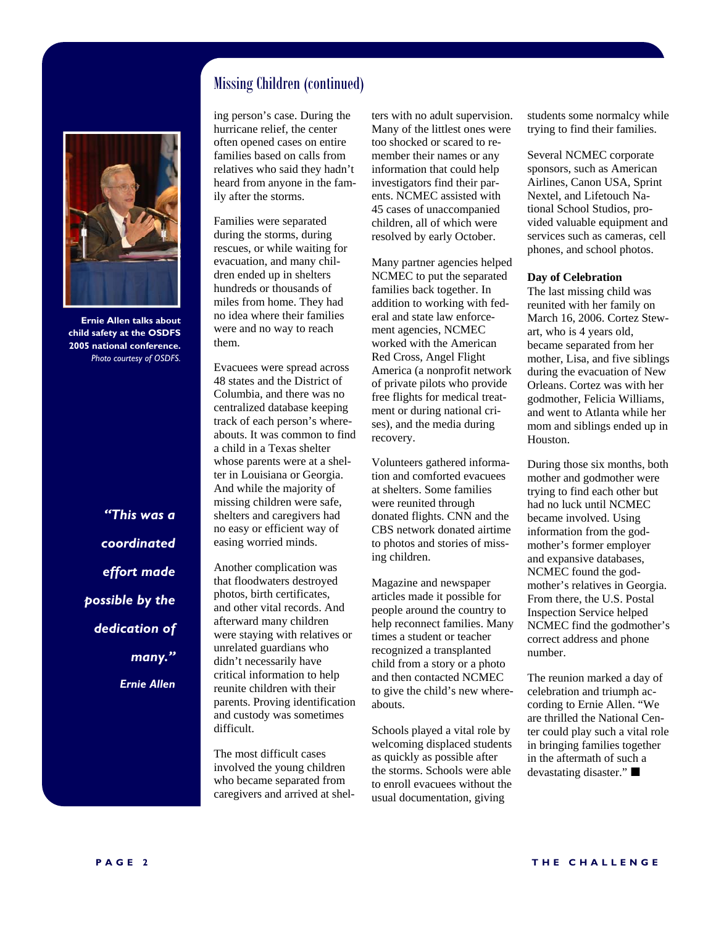

**Ernie Allen talks about child safety at the OSDFS 2005 national conference.**  *Photo courtesy of OSDFS.* 

*"This was a coordinated effort made possible by the dedication of many." Ernie Allen* 

### Missing Children (continued)

ing person's case. During the hurricane relief, the center often opened cases on entire families based on calls from relatives who said they hadn't heard from anyone in the family after the storms.

Families were separated during the storms, during rescues, or while waiting for evacuation, and many children ended up in shelters hundreds or thousands of miles from home. They had no idea where their families were and no way to reach them.

Evacuees were spread across 48 states and the District of Columbia, and there was no centralized database keeping track of each person's whereabouts. It was common to find a child in a Texas shelter whose parents were at a shelter in Louisiana or Georgia. And while the majority of missing children were safe, shelters and caregivers had no easy or efficient way of easing worried minds.

Another complication was that floodwaters destroyed photos, birth certificates, and other vital records. And afterward many children were staying with relatives or unrelated guardians who didn't necessarily have critical information to help reunite children with their parents. Proving identification and custody was sometimes difficult.

The most difficult cases involved the young children who became separated from caregivers and arrived at shelters with no adult supervision. Many of the littlest ones were too shocked or scared to remember their names or any information that could help investigators find their parents. NCMEC assisted with 45 cases of unaccompanied children, all of which were resolved by early October.

Many partner agencies helped NCMEC to put the separated families back together. In addition to working with federal and state law enforcement agencies, NCMEC worked with the American Red Cross, Angel Flight America (a nonprofit network of private pilots who provide free flights for medical treatment or during national crises), and the media during recovery.

Volunteers gathered information and comforted evacuees at shelters. Some families were reunited through donated flights. CNN and the CBS network donated airtime to photos and stories of missing children.

Magazine and newspaper articles made it possible for people around the country to help reconnect families. Many times a student or teacher recognized a transplanted child from a story or a photo and then contacted NCMEC to give the child's new whereabouts.

Schools played a vital role by welcoming displaced students as quickly as possible after the storms. Schools were able to enroll evacuees without the usual documentation, giving

students some normalcy while trying to find their families.

Several NCMEC corporate sponsors, such as American Airlines, Canon USA, Sprint Nextel, and Lifetouch National School Studios, provided valuable equipment and services such as cameras, cell phones, and school photos.

#### **Day of Celebration**

The last missing child was reunited with her family on March 16, 2006. Cortez Stewart, who is 4 years old, became separated from her mother, Lisa, and five siblings during the evacuation of New Orleans. Cortez was with her godmother, Felicia Williams, and went to Atlanta while her mom and siblings ended up in Houston.

During those six months, both mother and godmother were trying to find each other but had no luck until NCMEC became involved. Using information from the godmother's former employer and expansive databases, NCMEC found the godmother's relatives in Georgia. From there, the U.S. Postal Inspection Service helped NCMEC find the godmother's correct address and phone number.

The reunion marked a day of celebration and triumph according to Ernie Allen. "We are thrilled the National Center could play such a vital role in bringing families together in the aftermath of such a devastating disaster."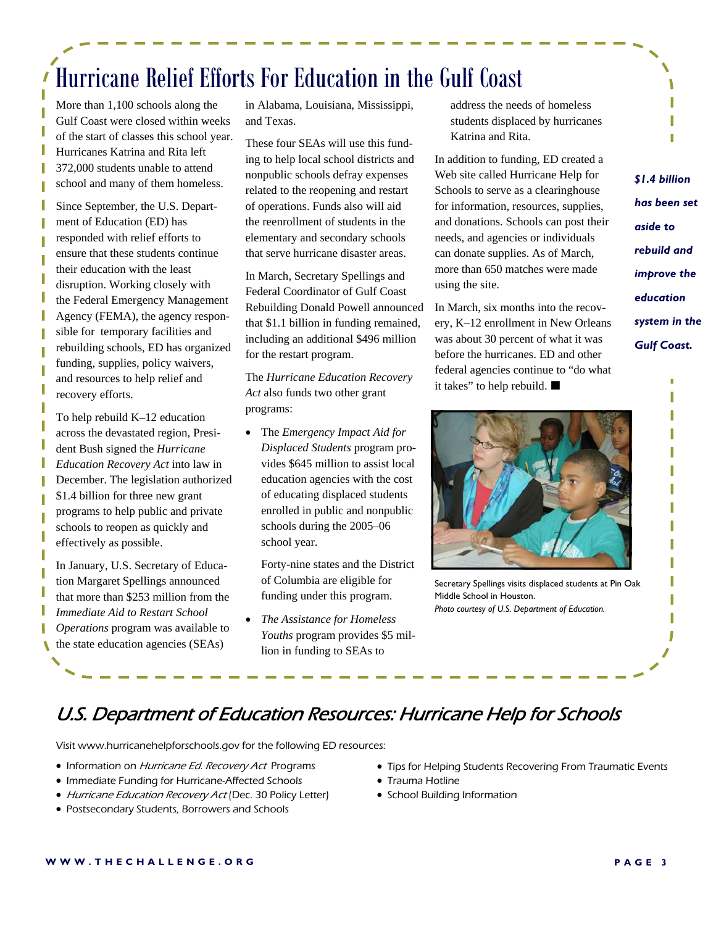# Hurricane Relief Efforts For Education in the Gulf Coast

More than 1,100 schools along the Gulf Coast were closed within weeks of the start of classes this school year. Hurricanes Katrina and Rita left 372,000 students unable to attend school and many of them homeless.

Since September, the U.S. Department of Education (ED) has responded with relief efforts to ensure that these students continue their education with the least disruption. Working closely with the Federal Emergency Management Agency (FEMA), the agency responsible for temporary facilities and rebuilding schools, ED has organized funding, supplies, policy waivers, and resources to help relief and recovery efforts.

To help rebuild K–12 education across the devastated region, President Bush signed the *Hurricane Education Recovery Act* into law in December. The legislation authorized \$1.4 billion for three new grant programs to help public and private schools to reopen as quickly and effectively as possible.

In January, U.S. Secretary of Education Margaret Spellings announced that more than \$253 million from the *Immediate Aid to Restart School Operations* program was available to the state education agencies (SEAs)

in Alabama, Louisiana, Mississippi, and Texas.

These four SEAs will use this funding to help local school districts and nonpublic schools defray expenses related to the reopening and restart of operations. Funds also will aid the reenrollment of students in the elementary and secondary schools that serve hurricane disaster areas.

In March, Secretary Spellings and Federal Coordinator of Gulf Coast Rebuilding Donald Powell announced that \$1.1 billion in funding remained, including an additional \$496 million for the restart program.

The *Hurricane Education Recovery Act* also funds two other grant programs:

• The *Emergency Impact Aid for Displaced Students* program provides \$645 million to assist local education agencies with the cost of educating displaced students enrolled in public and nonpublic schools during the 2005–06 school year.

 Forty-nine states and the District of Columbia are eligible for funding under this program.

• *The Assistance for Homeless Youths* program provides \$5 million in funding to SEAs to

address the needs of homeless students displaced by hurricanes Katrina and Rita.

In addition to funding, ED created a Web site called Hurricane Help for Schools to serve as a clearinghouse for information, resources, supplies, and donations. Schools can post their needs, and agencies or individuals can donate supplies. As of March, more than 650 matches were made using the site.

In March, six months into the recovery, K–12 enrollment in New Orleans was about 30 percent of what it was before the hurricanes. ED and other federal agencies continue to "do what it takes" to help rebuild.



Secretary Spellings visits displaced students at Pin Oak Middle School in Houston. *Photo courtesy of U.S. Department of Education.*

### *\$1.4 billion has been set aside to rebuild and improve the education system in the Gulf Coast.*

### U.S. Department of Education Resources: Hurricane Help for Schools

Visit www.hurricanehelpforschools.gov for the following ED resources:

- Information on Hurricane Ed. Recovery Act Programs
- Immediate Funding for Hurricane-Affected Schools
- Hurricane Education Recovery Act (Dec. 30 Policy Letter)
- Postsecondary Students, Borrowers and Schools
- Tips for Helping Students Recovering From Traumatic Events
- Trauma Hotline
- School Building Information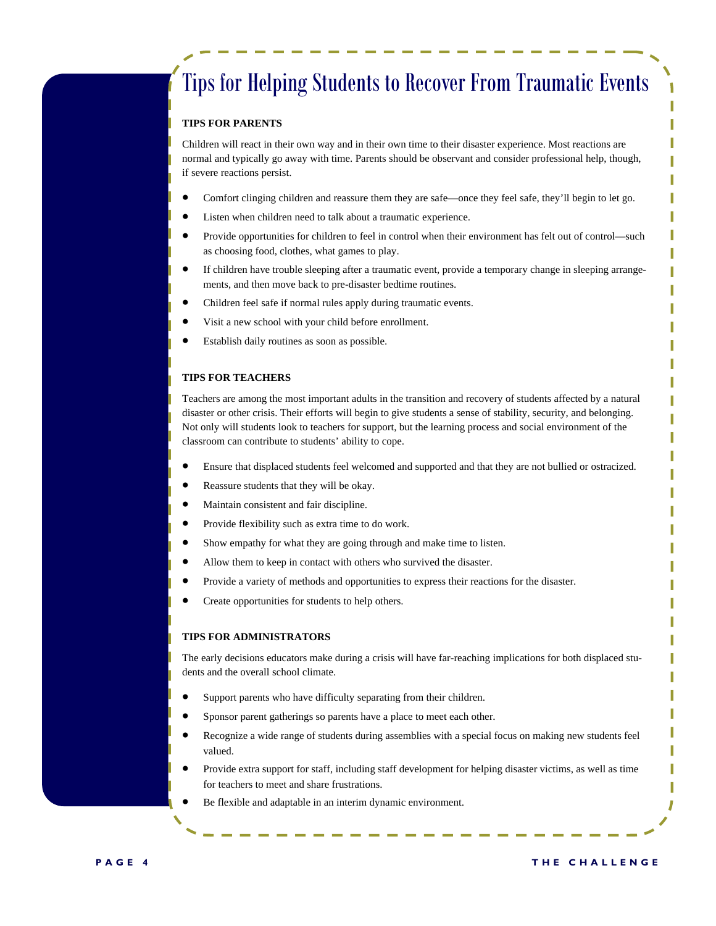### Tips for Helping Students to Recover From Traumatic Events

### **TIPS FOR PARENTS**

Children will react in their own way and in their own time to their disaster experience. Most reactions are normal and typically go away with time. Parents should be observant and consider professional help, though, if severe reactions persist.

- Comfort clinging children and reassure them they are safe—once they feel safe, they'll begin to let go.
- Listen when children need to talk about a traumatic experience.
- Provide opportunities for children to feel in control when their environment has felt out of control—such as choosing food, clothes, what games to play.
- If children have trouble sleeping after a traumatic event, provide a temporary change in sleeping arrangements, and then move back to pre-disaster bedtime routines.
- Children feel safe if normal rules apply during traumatic events.
- Visit a new school with your child before enrollment.
- Establish daily routines as soon as possible.

#### **TIPS FOR TEACHERS**

Teachers are among the most important adults in the transition and recovery of students affected by a natural disaster or other crisis. Their efforts will begin to give students a sense of stability, security, and belonging. Not only will students look to teachers for support, but the learning process and social environment of the classroom can contribute to students' ability to cope.

- Ensure that displaced students feel welcomed and supported and that they are not bullied or ostracized.
- Reassure students that they will be okay.
- Maintain consistent and fair discipline.
- Provide flexibility such as extra time to do work.
- Show empathy for what they are going through and make time to listen.
- Allow them to keep in contact with others who survived the disaster.
- Provide a variety of methods and opportunities to express their reactions for the disaster.
- Create opportunities for students to help others.

#### **TIPS FOR ADMINISTRATORS**

The early decisions educators make during a crisis will have far-reaching implications for both displaced students and the overall school climate.

- Support parents who have difficulty separating from their children.
- Sponsor parent gatherings so parents have a place to meet each other.
- Recognize a wide range of students during assemblies with a special focus on making new students feel valued.
- Provide extra support for staff, including staff development for helping disaster victims, as well as time for teachers to meet and share frustrations.
- Be flexible and adaptable in an interim dynamic environment.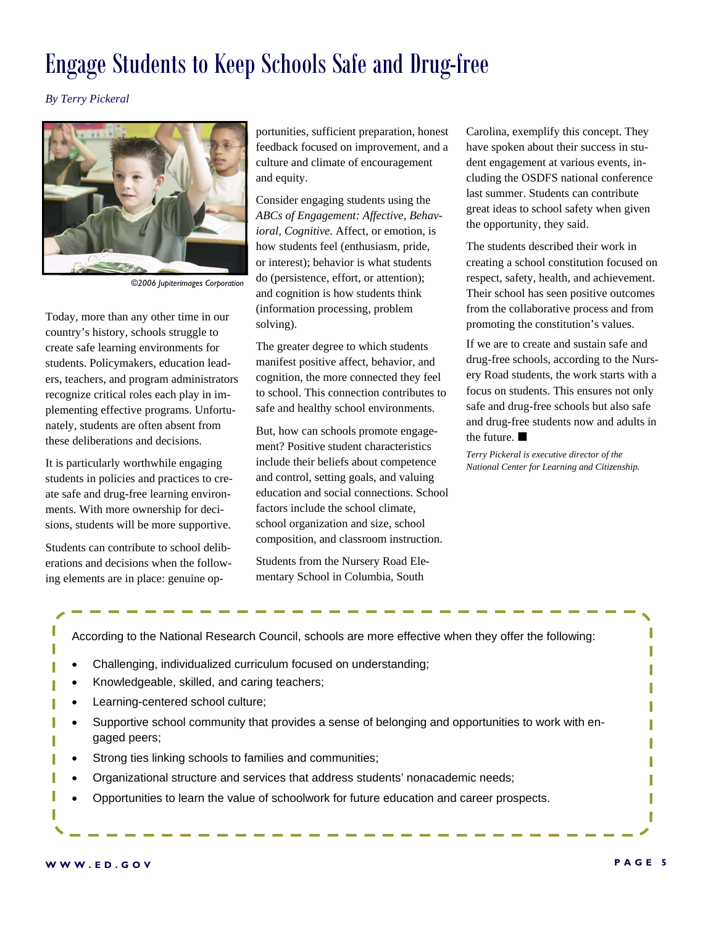### Engage Students to Keep Schools Safe and Drug-free

*By Terry Pickeral* 



*©2006 Jupiterimages Corporation* 

Today, more than any other time in our country's history, schools struggle to create safe learning environments for students. Policymakers, education leaders, teachers, and program administrators recognize critical roles each play in implementing effective programs. Unfortunately, students are often absent from these deliberations and decisions.

It is particularly worthwhile engaging students in policies and practices to create safe and drug-free learning environments. With more ownership for decisions, students will be more supportive.

Students can contribute to school deliberations and decisions when the following elements are in place: genuine opportunities, sufficient preparation, honest feedback focused on improvement, and a culture and climate of encouragement and equity.

Consider engaging students using the *ABCs of Engagement: Affective, Behavioral, Cognitive*. Affect, or emotion, is how students feel (enthusiasm, pride, or interest); behavior is what students do (persistence, effort, or attention); and cognition is how students think (information processing, problem solving).

The greater degree to which students manifest positive affect, behavior, and cognition, the more connected they feel to school. This connection contributes to safe and healthy school environments.

But, how can schools promote engagement? Positive student characteristics include their beliefs about competence and control, setting goals, and valuing education and social connections. School factors include the school climate, school organization and size, school composition, and classroom instruction.

Students from the Nursery Road Elementary School in Columbia, South

Carolina, exemplify this concept. They have spoken about their success in student engagement at various events, including the OSDFS national conference last summer. Students can contribute great ideas to school safety when given the opportunity, they said.

The students described their work in creating a school constitution focused on respect, safety, health, and achievement. Their school has seen positive outcomes from the collaborative process and from promoting the constitution's values.

If we are to create and sustain safe and drug-free schools, according to the Nursery Road students, the work starts with a focus on students. This ensures not only safe and drug-free schools but also safe and drug-free students now and adults in the future.

*Terry Pickeral is executive director of the National Center for Learning and Citizenship.* 

According to the National Research Council, schools are more effective when they offer the following:

- Challenging, individualized curriculum focused on understanding;
- Knowledgeable, skilled, and caring teachers;
- Learning-centered school culture;
- Supportive school community that provides a sense of belonging and opportunities to work with engaged peers;
- Strong ties linking schools to families and communities;
- Organizational structure and services that address students' nonacademic needs;
- Opportunities to learn the value of schoolwork for future education and career prospects.

Ī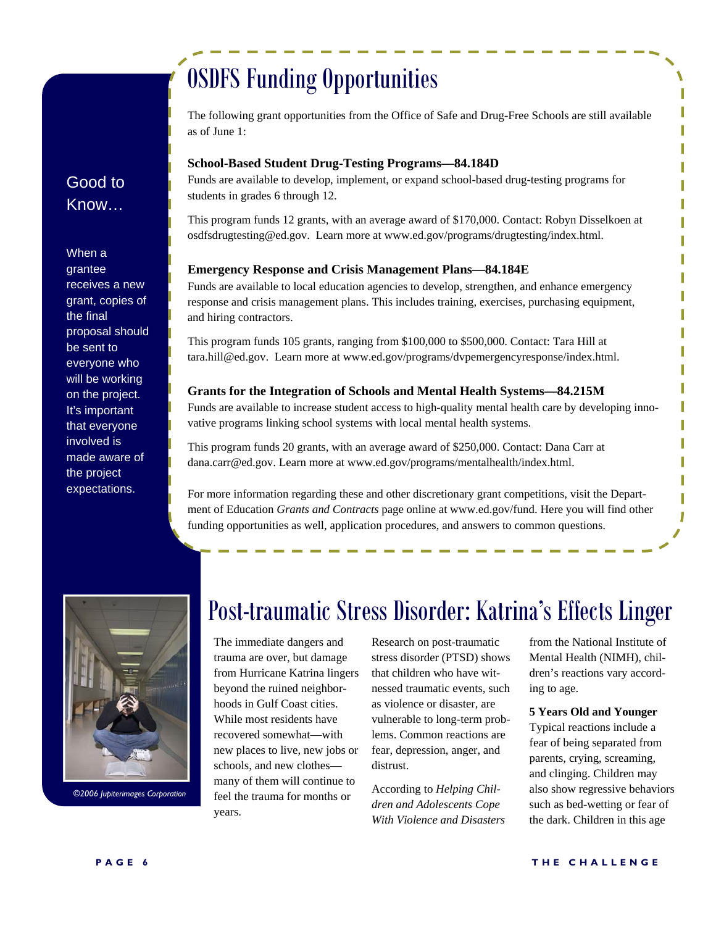## OSDFS Funding Opportunities

Good to Know…

When a grantee receives a new grant, copies of the final proposal should be sent to everyone who will be working on the project. It's important that everyone involved is made aware of the project expectations.

The following grant opportunities from the Office of Safe and Drug-Free Schools are still available as of June 1:

### **School-Based Student Drug-Testing Programs—84.184D**

Funds are available to develop, implement, or expand school-based drug-testing programs for students in grades 6 through 12.

This program funds 12 grants, with an average award of \$170,000. Contact: Robyn Disselkoen at osdfsdrugtesting@ed.gov. Learn more at www.ed.gov/programs/drugtesting/index.html.

### **Emergency Response and Crisis Management Plans—84.184E**

Funds are available to local education agencies to develop, strengthen, and enhance emergency response and crisis management plans. This includes training, exercises, purchasing equipment, and hiring contractors.

This program funds 105 grants, ranging from \$100,000 to \$500,000. Contact: Tara Hill at tara.hill@ed.gov. Learn more at www.ed.gov/programs/dvpemergencyresponse/index.html.

### **Grants for the Integration of Schools and Mental Health Systems—84.215M**

Funds are available to increase student access to high-quality mental health care by developing innovative programs linking school systems with local mental health systems.

This program funds 20 grants, with an average award of \$250,000. Contact: Dana Carr at dana.carr@ed.gov. Learn more at www.ed.gov/programs/mentalhealth/index.html.

For more information regarding these and other discretionary grant competitions, visit the Department of Education *Grants and Contracts* page online at www.ed.gov/fund. Here you will find other funding opportunities as well, application procedures, and answers to common questions.



*©2006 Jupiterimages Corporation* 

### Post-traumatic Stress Disorder: Katrina's Effects Linger

The immediate dangers and trauma are over, but damage from Hurricane Katrina lingers beyond the ruined neighborhoods in Gulf Coast cities. While most residents have recovered somewhat—with new places to live, new jobs or schools, and new clothes many of them will continue to feel the trauma for months or years.

Research on post-traumatic stress disorder (PTSD) shows that children who have witnessed traumatic events, such as violence or disaster, are vulnerable to long-term problems. Common reactions are fear, depression, anger, and distrust.

According to *Helping Children and Adolescents Cope With Violence and Disasters*

from the National Institute of Mental Health (NIMH), children's reactions vary according to age.

### **5 Years Old and Younger**

Typical reactions include a fear of being separated from parents, crying, screaming, and clinging. Children may also show regressive behaviors such as bed-wetting or fear of the dark. Children in this age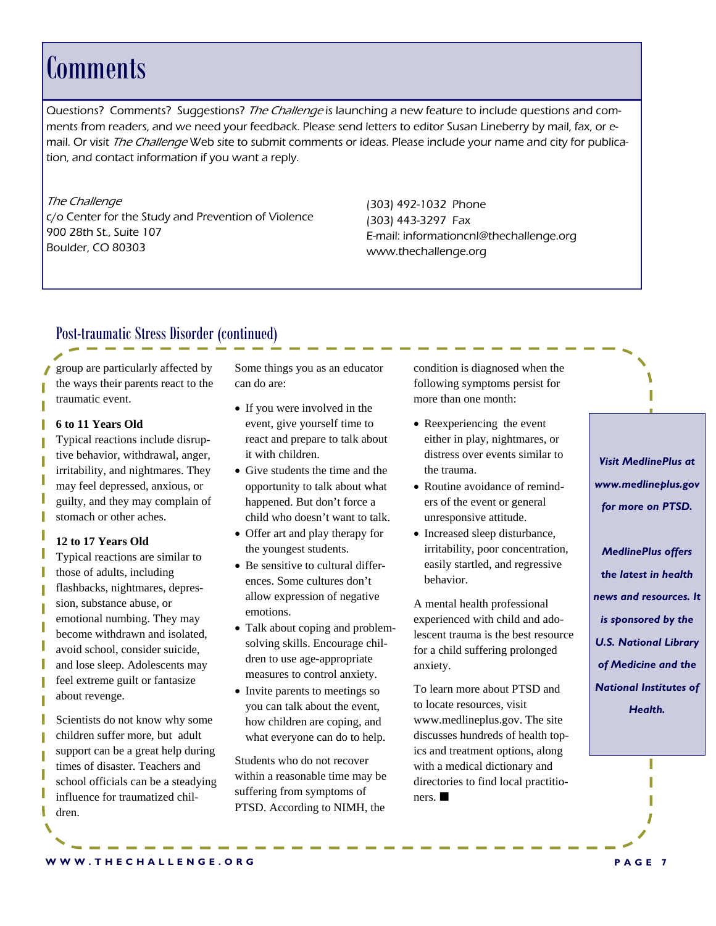### **Comments**

Questions? Comments? Suggestions? The Challenge is launching a new feature to include questions and comments from readers, and we need your feedback. Please send letters to editor Susan Lineberry by mail, fax, or email. Or visit The Challenge Web site to submit comments or ideas. Please include your name and city for publication, and contact information if you want a reply.

The Challenge c/o Center for the Study and Prevention of Violence 900 28th St., Suite 107 Boulder, CO 80303

(303) 492-1032 Phone (303) 443-3297 Fax E-mail: informationcnl@thechallenge.org www.thechallenge.org

### Post-traumatic Stress Disorder (continued)

group are particularly affected by the ways their parents react to the traumatic event.

### **6 to 11 Years Old**

Typical reactions include disruptive behavior, withdrawal, anger, irritability, and nightmares. They may feel depressed, anxious, or guilty, and they may complain of stomach or other aches.

### **12 to 17 Years Old**

Typical reactions are similar to those of adults, including flashbacks, nightmares, depression, substance abuse, or emotional numbing. They may become withdrawn and isolated, avoid school, consider suicide, and lose sleep. Adolescents may feel extreme guilt or fantasize about revenge.

Scientists do not know why some children suffer more, but adult support can be a great help during times of disaster. Teachers and school officials can be a steadying influence for traumatized children.

Some things you as an educator can do are:

- If you were involved in the event, give yourself time to react and prepare to talk about it with children.
- Give students the time and the opportunity to talk about what happened. But don't force a child who doesn't want to talk.
- Offer art and play therapy for the youngest students.
- Be sensitive to cultural differences. Some cultures don't allow expression of negative emotions.
- Talk about coping and problemsolving skills. Encourage children to use age-appropriate measures to control anxiety.
- Invite parents to meetings so you can talk about the event, how children are coping, and what everyone can do to help.

Students who do not recover within a reasonable time may be suffering from symptoms of PTSD. According to NIMH, the

condition is diagnosed when the following symptoms persist for more than one month:

- Reexperiencing the event either in play, nightmares, or distress over events similar to the trauma.
- Routine avoidance of reminders of the event or general unresponsive attitude.
- Increased sleep disturbance, irritability, poor concentration, easily startled, and regressive behavior.

A mental health professional experienced with child and adolescent trauma is the best resource for a child suffering prolonged anxiety.

To learn more about PTSD and to locate resources, visit www.medlineplus.gov. The site discusses hundreds of health topics and treatment options, along with a medical dictionary and directories to find local practitioners.

*Visit MedlinePlus at www.medlineplus.gov for more on PTSD.* 

*MedlinePlus offers the latest in health news and resources. It is sponsored by the U.S. National Library of Medicine and the National Institutes of Health.*